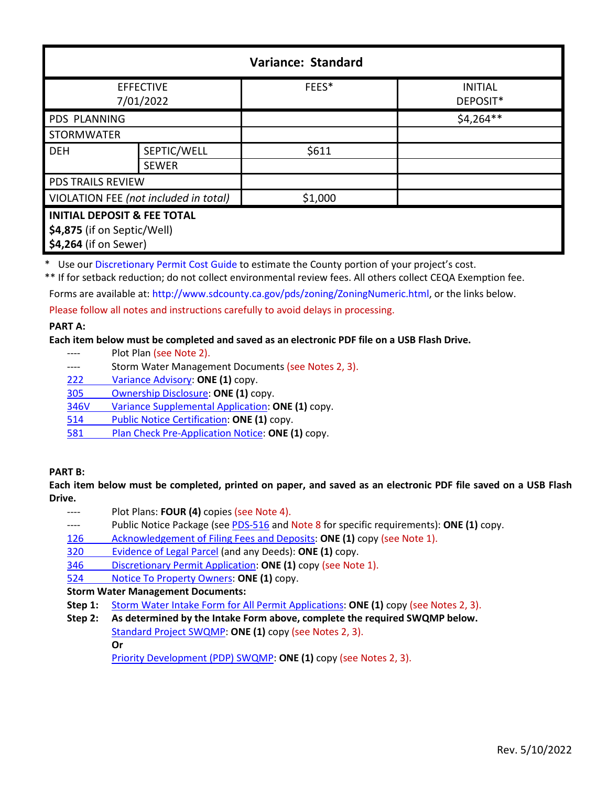| <b>Variance: Standard</b>                                                                      |                             |         |                            |  |
|------------------------------------------------------------------------------------------------|-----------------------------|---------|----------------------------|--|
| <b>EFFECTIVE</b><br>7/01/2022                                                                  |                             | FEES*   | <b>INITIAL</b><br>DEPOSIT* |  |
| PDS PLANNING                                                                                   |                             |         | $$4,264**$                 |  |
| <b>STORMWATER</b>                                                                              |                             |         |                            |  |
| <b>DEH</b>                                                                                     | SEPTIC/WELL<br><b>SEWER</b> | \$611   |                            |  |
| <b>PDS TRAILS REVIEW</b>                                                                       |                             |         |                            |  |
| VIOLATION FEE (not included in total)                                                          |                             | \$1,000 |                            |  |
| <b>INITIAL DEPOSIT &amp; FEE TOTAL</b><br>\$4,875 (if on Septic/Well)<br>\$4,264 (if on Sewer) |                             |         |                            |  |

\* Use ou[r Discretionary Permit Cost Guide](http://www.sandiegocounty.gov/content/dam/sdc/pds/docs/Discretionary_Permit_Cost_Guide.xlsx) to estimate the County portion of your project's cost.

\*\* If for setback reduction; do not collect environmental review fees. All others collect CEQA Exemption fee.

Forms are available at: [http://www.sdcounty.ca.gov/pds/zoning/ZoningNumeric.html,](http://www.sdcounty.ca.gov/pds/zoning/ZoningNumeric.html) or the links below.

Please follow all notes and instructions carefully to avoid delays in processing.

## **PART A:**

#### **Each item below must be completed and saved as an electronic PDF file on a USB Flash Drive.**

- ---- Plot Plan (see Note 2).
- ---- Storm Water Management Documents (see Notes 2, 3).
- 222 [Variance Advisory:](http://www.sdcounty.ca.gov/pds/zoning/formfields/PDS-PLN-222.pdf) **ONE (1)** copy.
- [305 Ownership Disclosure:](http://www.sdcounty.ca.gov/pds/zoning/formfields/PDS-PLN-305.pdf) **ONE (1)** copy.
- [346V Variance Supplemental Application:](http://www.sdcounty.ca.gov/pds/zoning/formfields/PDS-PLN-346V.pdf) **ONE (1)** copy.
- 514 [Public Notice Certification:](http://www.sdcounty.ca.gov/pds/zoning/formfields/PDS-PLN-514.pdf) **ONE (1)** copy.
- 581 [Plan Check Pre-Application Notice:](http://www.sdcounty.ca.gov/pds/zoning/formfields/PDS-PLN-581.pdf) **ONE (1)** copy.

#### **PART B:**

**Each item below must be completed, printed on paper, and saved as an electronic PDF file saved on a USB Flash Drive.**

- ---- Plot Plans: **FOUR (4)** copies (see Note 4).
- ---- Public Notice Package (se[e PDS-516 a](http://www.sdcounty.ca.gov/pds/zoning/formfields/PDS-PLN-516.pdf)nd Note 8 for specific requirements): **ONE (1)** copy.
- 126 [Acknowledgement of Filing Fees and Deposits:](http://www.sdcounty.ca.gov/pds/zoning/formfields/PDS-PLN-126.pdf) **ONE (1)** copy (see Note 1).
- 320 [Evidence of Legal Parcel](http://www.sdcounty.ca.gov/pds/zoning/formfields/PDS-PLN-320.pdf) (and any Deeds): **ONE (1)** copy.
- 346 [Discretionary Permit Application:](http://www.sdcounty.ca.gov/pds/zoning/formfields/PDS-PLN-346.pdf) **ONE (1)** copy (see Note 1).
- 524 [Notice To Property Owners:](http://www.sdcounty.ca.gov/pds/zoning/formfields/PDS-PLN-524.pdf) **ONE (1)** copy.

#### **Storm Water Management Documents:**

- **Step 1:** [Storm Water Intake Form for All Permit Applications:](http://www.sandiegocounty.gov/content/dam/sdc/pds/zoning/formfields/SWQMP-Intake-Form.pdf) **ONE (1)** copy (see Notes 2, 3).
- **Step 2: As determined by the Intake Form above, complete the required SWQMP below.** [Standard Project SWQMP:](http://www.sandiegocounty.gov/content/dam/sdc/pds/zoning/formfields/SWQMP-Standard.pdf) **ONE (1)** copy (see Notes 2, 3). **Or**

[Priority Development \(PDP\) SWQMP:](https://www.sandiegocounty.gov/content/sdc/dpw/watersheds/DevelopmentandConstruction/BMP_Design_Manual.html) **ONE (1)** copy (see Notes 2, 3).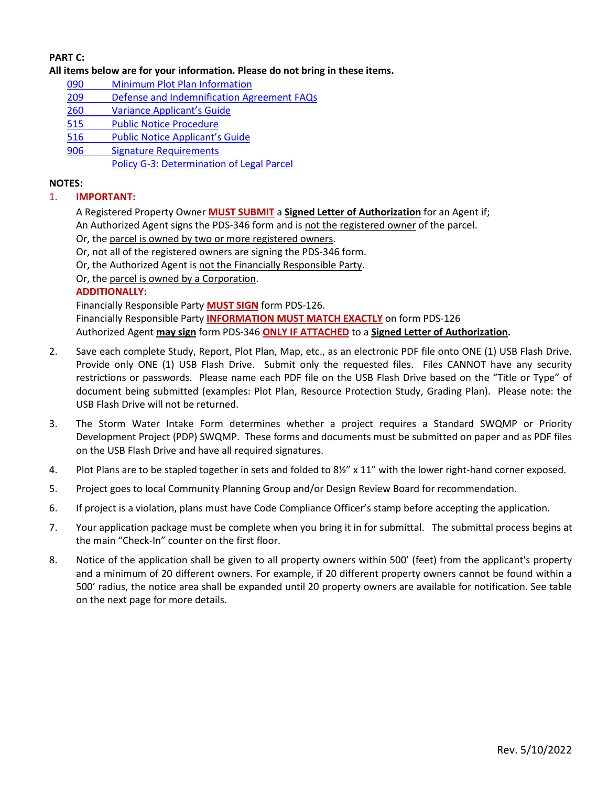## **PART C:**

#### **All items below are for your information. Please do not bring in these items.**

- 090 [Minimum Plot Plan Information](http://www.sdcounty.ca.gov/pds/docs/pds090.pdf)
- 209 [Defense and Indemnification Agreement](http://www.sdcounty.ca.gov/pds/zoning/formfields/PDS-PLN-209.pdf) FAQs
- 260 [Variance Applicant's Guide](http://www.sdcounty.ca.gov/pds/zoning/formfields/PDS-PLN-260.pdf)
- [515 Public Notice Procedure](http://www.sdcounty.ca.gov/pds/zoning/formfields/PDS-PLN-515.pdf)
- [516 Public Notice Applicant's Guide](http://www.sdcounty.ca.gov/pds/zoning/formfields/PDS-PLN-516.pdf)
- [906 Signature Requirements](http://www.sdcounty.ca.gov/pds/zoning/formfields/PDS-PLN-906.pdf) 
	- [Policy G-3: Determination of Legal Parcel](http://www.sdcounty.ca.gov/pds/zoning/formfields/POLICY-G-3.pdf)

### **NOTES:**

# 1. **IMPORTANT:**

A Registered Property Owner **MUST SUBMIT** a **Signed Letter of Authorization** for an Agent if;

An Authorized Agent signs the PDS-346 form and is not the registered owner of the parcel.

- Or, the parcel is owned by two or more registered owners.
- Or, not all of the registered owners are signing the PDS-346 form.

Or, the Authorized Agent is not the Financially Responsible Party.

Or, the parcel is owned by a Corporation.

## **ADDITIONALLY:**

Financially Responsible Party **MUST SIGN** form PDS-126. Financially Responsible Party **INFORMATION MUST MATCH EXACTLY** on form PDS-126

Authorized Agent **may sign** form PDS-346 **ONLY IF ATTACHED** to a **Signed Letter of Authorization.** 

- 2. Save each complete Study, Report, Plot Plan, Map, etc., as an electronic PDF file onto ONE (1) USB Flash Drive. Provide only ONE (1) USB Flash Drive. Submit only the requested files. Files CANNOT have any security restrictions or passwords. Please name each PDF file on the USB Flash Drive based on the "Title or Type" of document being submitted (examples: Plot Plan, Resource Protection Study, Grading Plan). Please note: the USB Flash Drive will not be returned.
- 3. The Storm Water Intake Form determines whether a project requires a Standard SWQMP or Priority Development Project (PDP) SWQMP. These forms and documents must be submitted on paper and as PDF files on the USB Flash Drive and have all required signatures.
- 4. Plot Plans are to be stapled together in sets and folded to 8½" x 11" with the lower right-hand corner exposed.
- 5. Project goes to local Community Planning Group and/or Design Review Board for recommendation.
- 6. If project is a violation, plans must have Code Compliance Officer's stamp before accepting the application.
- 7. Your application package must be complete when you bring it in for submittal. The submittal process begins at the main "Check-In" counter on the first floor.
- 8. Notice of the application shall be given to all property owners within 500' (feet) from the applicant's property and a minimum of 20 different owners. For example, if 20 different property owners cannot be found within a 500' radius, the notice area shall be expanded until 20 property owners are available for notification. See table on the next page for more details.